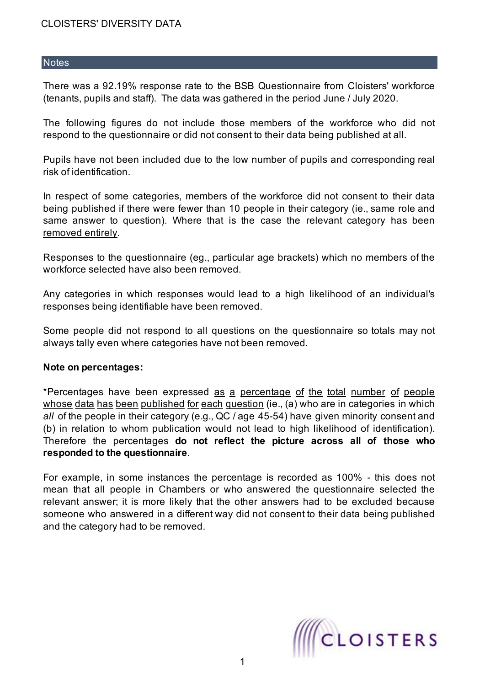#### **Notes**

There was a 92.19% response rate to the BSB Questionnaire from Cloisters' workforce (tenants, pupils and staff). The data was gathered in the period June / July 2020.

The following figures do not include those members of the workforce who did not respond to the questionnaire or did not consent to their data being published at all.

Pupils have not been included due to the low number of pupils and corresponding real risk of identification.

In respect of some categories, members of the workforce did not consent to their data being published if there were fewer than 10 people in their category (ie., same role and same answer to question). Where that is the case the relevant category has been removed entirely.

Responses to the questionnaire (eg., particular age brackets) which no members of the workforce selected have also been removed.

Any categories in which responses would lead to a high likelihood of an individual's responses being identifiable have been removed.

Some people did not respond to all questions on the questionnaire so totals may not always tally even where categories have not been removed.

#### **Note on percentages:**

\*Percentages have been expressed as a percentage of the total number of people whose data has been published for each question (ie., (a) who are in categories in which *all* of the people in their category (e.g., QC / age 45-54) have given minority consent and (b) in relation to whom publication would not lead to high likelihood of identification). Therefore the percentages **do not reflect the picture across all of those who responded to the questionnaire**.

For example, in some instances the percentage is recorded as 100% - this does not mean that all people in Chambers or who answered the questionnaire selected the relevant answer; it is more likely that the other answers had to be excluded because someone who answered in a different way did not consent to their data being published and the category had to be removed.

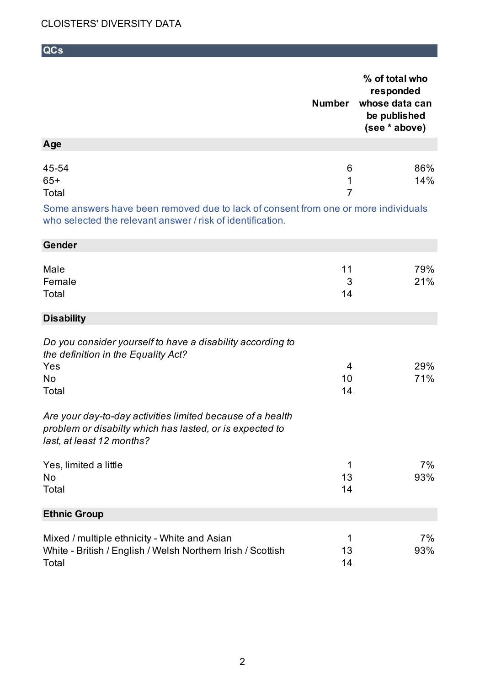**QCs**

|                                                                                                                                                     | <b>Number</b>            | % of total who<br>responded<br>whose data can<br>be published<br>(see * above) |
|-----------------------------------------------------------------------------------------------------------------------------------------------------|--------------------------|--------------------------------------------------------------------------------|
| Age                                                                                                                                                 |                          |                                                                                |
| 45-54<br>$65+$<br>Total                                                                                                                             | 6<br>1<br>$\overline{7}$ | 86%<br>14%                                                                     |
| Some answers have been removed due to lack of consent from one or more individuals<br>who selected the relevant answer / risk of identification.    |                          |                                                                                |
| Gender                                                                                                                                              |                          |                                                                                |
| Male<br>Female<br>Total                                                                                                                             | 11<br>3<br>14            | 79%<br>21%                                                                     |
| <b>Disability</b>                                                                                                                                   |                          |                                                                                |
| Do you consider yourself to have a disability according to<br>the definition in the Equality Act?<br>Yes<br>No<br>Total                             | 4<br>10<br>14            | 29%<br>71%                                                                     |
| Are your day-to-day activities limited because of a health<br>problem or disabilty which has lasted, or is expected to<br>last, at least 12 months? |                          |                                                                                |
| Yes, limited a little<br>No<br>Total                                                                                                                | 1<br>13<br>14            | 7%<br>93%                                                                      |
| <b>Ethnic Group</b>                                                                                                                                 |                          |                                                                                |
| Mixed / multiple ethnicity - White and Asian<br>White - British / English / Welsh Northern Irish / Scottish<br>Total                                | 1<br>13<br>14            | 7%<br>93%                                                                      |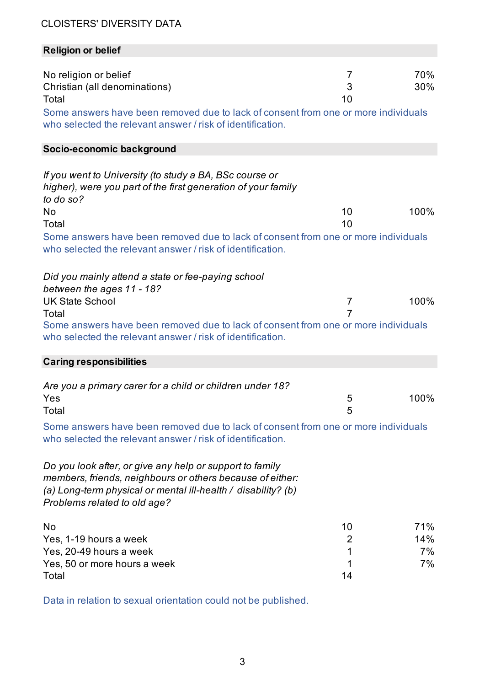## **Religion or belief**

| No religion or belief<br>Christian (all denominations)<br>Total                                                                                                                                                        | 7<br>3<br>10   | 70%<br>30% |
|------------------------------------------------------------------------------------------------------------------------------------------------------------------------------------------------------------------------|----------------|------------|
| Some answers have been removed due to lack of consent from one or more individuals<br>who selected the relevant answer / risk of identification.                                                                       |                |            |
| Socio-economic background                                                                                                                                                                                              |                |            |
| If you went to University (to study a BA, BSc course or<br>higher), were you part of the first generation of your family<br>to do so?                                                                                  |                |            |
| No                                                                                                                                                                                                                     | 10             | 100%       |
| Total                                                                                                                                                                                                                  | 10             |            |
| Some answers have been removed due to lack of consent from one or more individuals<br>who selected the relevant answer / risk of identification.                                                                       |                |            |
| Did you mainly attend a state or fee-paying school                                                                                                                                                                     |                |            |
| between the ages 11 - 18?                                                                                                                                                                                              |                |            |
| <b>UK State School</b>                                                                                                                                                                                                 | $\overline{7}$ | 100%       |
| Total<br>Some answers have been removed due to lack of consent from one or more individuals<br>who selected the relevant answer / risk of identification.                                                              | 7              |            |
| <b>Caring responsibilities</b>                                                                                                                                                                                         |                |            |
| Are you a primary carer for a child or children under 18?<br>Yes<br>Total                                                                                                                                              | 5<br>5         | 100%       |
| Some answers have been removed due to lack of consent from one or more individuals<br>who selected the relevant answer / risk of identification.                                                                       |                |            |
| Do you look after, or give any help or support to family<br>members, friends, neighbours or others because of either:<br>(a) Long-term physical or mental ill-health / disability? (b)<br>Problems related to old age? |                |            |
| No                                                                                                                                                                                                                     | 10             | 71%        |
| Yes, 1-19 hours a week                                                                                                                                                                                                 | $\overline{2}$ | 14%        |
| Yes, 20-49 hours a week                                                                                                                                                                                                | 1              | 7%         |
| Yes, 50 or more hours a week                                                                                                                                                                                           | 1              | 7%         |
| Total                                                                                                                                                                                                                  | 14             |            |

Data in relation to sexual orientation could not be published.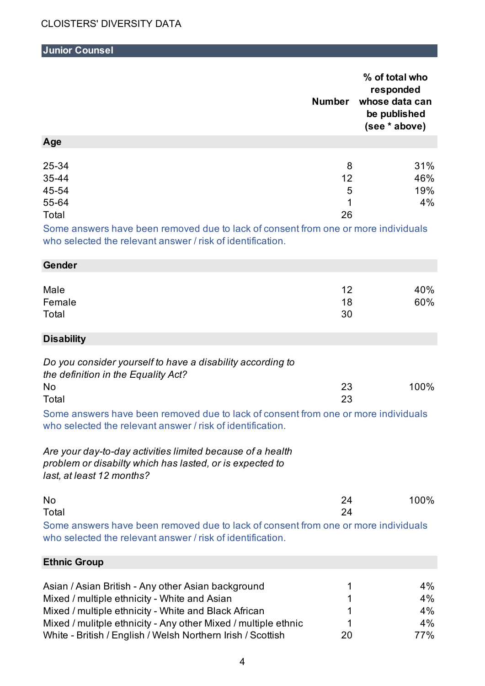## **Junior Counsel**

|                                                                                                                                                                                               | <b>Number</b>           | % of total who<br>responded<br>whose data can<br>be published<br>(see * above) |
|-----------------------------------------------------------------------------------------------------------------------------------------------------------------------------------------------|-------------------------|--------------------------------------------------------------------------------|
| Age                                                                                                                                                                                           |                         |                                                                                |
| 25-34<br>35-44<br>45-54<br>55-64<br>Total<br>Some answers have been removed due to lack of consent from one or more individuals<br>who selected the relevant answer / risk of identification. | 8<br>12<br>5<br>1<br>26 | 31%<br>46%<br>19%<br>4%                                                        |
| Gender                                                                                                                                                                                        |                         |                                                                                |
|                                                                                                                                                                                               |                         |                                                                                |
| Male<br>Female<br>Total                                                                                                                                                                       | 12<br>18<br>30          | 40%<br>60%                                                                     |
| <b>Disability</b>                                                                                                                                                                             |                         |                                                                                |
| Do you consider yourself to have a disability according to<br>the definition in the Equality Act?                                                                                             |                         |                                                                                |
| No<br>Total                                                                                                                                                                                   | 23<br>23                | 100%                                                                           |
| Some answers have been removed due to lack of consent from one or more individuals<br>who selected the relevant answer / risk of identification.                                              |                         |                                                                                |
| Are your day-to-day activities limited because of a health<br>problem or disabilty which has lasted, or is expected to<br>last, at least 12 months?                                           |                         |                                                                                |
| No<br>Total                                                                                                                                                                                   | 24<br>24                | 100%                                                                           |
| Some answers have been removed due to lack of consent from one or more individuals<br>who selected the relevant answer / risk of identification.                                              |                         |                                                                                |
| <b>Ethnic Group</b>                                                                                                                                                                           |                         |                                                                                |
|                                                                                                                                                                                               |                         |                                                                                |
| Asian / Asian British - Any other Asian background                                                                                                                                            | 1<br>1                  | 4%<br>4%                                                                       |
| Mixed / multiple ethnicity - White and Asian<br>Mixed / multiple ethnicity - White and Black African                                                                                          | 1                       | 4%                                                                             |
| Mixed / mulitple ethnicity - Any other Mixed / multiple ethnic                                                                                                                                | 1                       | 4%                                                                             |

White - British / English / Welsh Northern Irish / Scottish 20 77%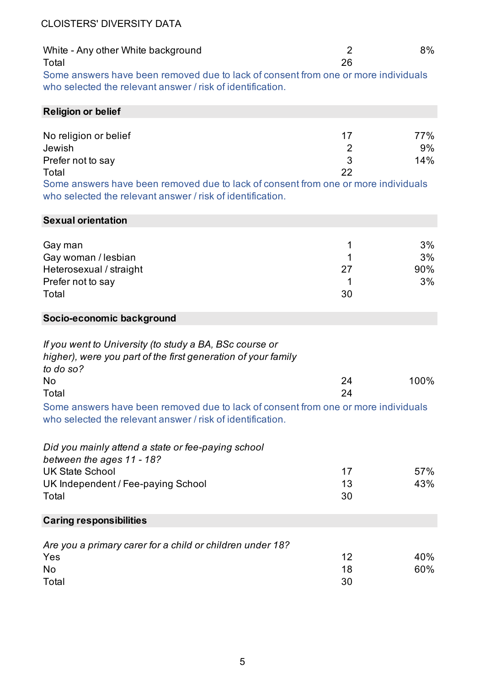| White - Any other White background                                                 |    | 8% |
|------------------------------------------------------------------------------------|----|----|
| Total                                                                              | 26 |    |
| Some answers have been removed due to lack of consent from one or more individuals |    |    |

who selected the relevant answer / risk of identification.

| <b>Religion or belief</b> |    |     |
|---------------------------|----|-----|
|                           |    |     |
| No religion or belief     | 17 | 77% |
| Jewish                    | 2  | 9%  |
| Prefer not to say         | 3  | 14% |
| Total                     | 22 |     |
|                           |    |     |

Some answers have been removed due to lack of consent from one or more individuals who selected the relevant answer / risk of identification.

| 3%<br>3%<br>90%<br>3%                                                              |
|------------------------------------------------------------------------------------|
|                                                                                    |
|                                                                                    |
|                                                                                    |
|                                                                                    |
| 100%                                                                               |
| Some answers have been removed due to lack of consent from one or more individuals |
|                                                                                    |
| 57%<br>43%                                                                         |
|                                                                                    |
| 40%<br>60%                                                                         |
|                                                                                    |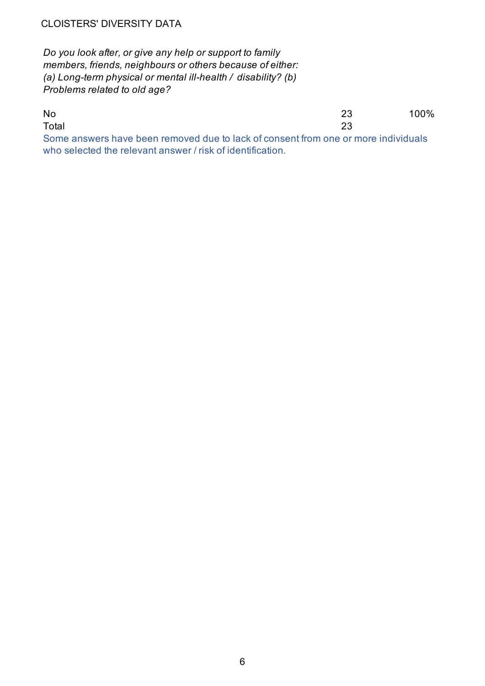*Do you look after, or give any help or support to family members, friends, neighbours or others because of either: (a) Long-term physical or mental ill-health / disability? (b) Problems related to old age?*

No 23 100% Total 23 Some answers have been removed due to lack of consent from one or more individuals who selected the relevant answer / risk of identification.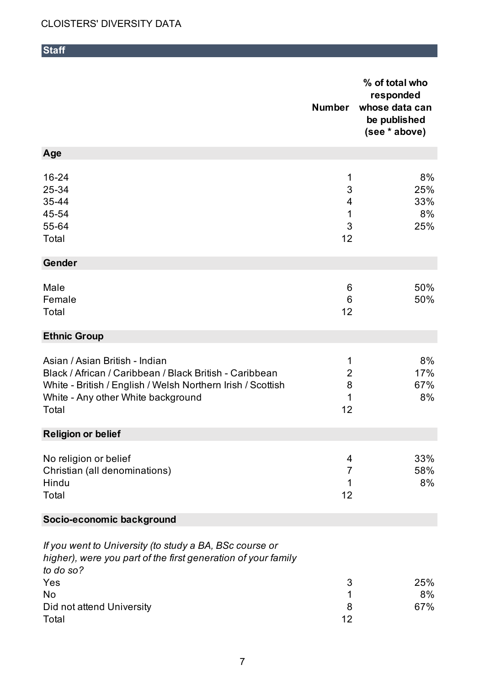**Staff**

|                                                                                                                                                                                                         | <b>Number</b>                       | % of total who<br>responded<br>whose data can<br>be published<br>(see * above) |
|---------------------------------------------------------------------------------------------------------------------------------------------------------------------------------------------------------|-------------------------------------|--------------------------------------------------------------------------------|
| Age                                                                                                                                                                                                     |                                     |                                                                                |
| 16-24<br>25-34<br>35-44<br>45-54<br>55-64<br>Total                                                                                                                                                      | 1<br>3<br>4<br>1<br>3<br>12         | 8%<br>25%<br>33%<br>8%<br>25%                                                  |
| <b>Gender</b>                                                                                                                                                                                           |                                     |                                                                                |
| Male<br>Female<br>Total                                                                                                                                                                                 | 6<br>6<br>12                        | 50%<br>50%                                                                     |
| <b>Ethnic Group</b>                                                                                                                                                                                     |                                     |                                                                                |
| Asian / Asian British - Indian<br>Black / African / Caribbean / Black British - Caribbean<br>White - British / English / Welsh Northern Irish / Scottish<br>White - Any other White background<br>Total | 1<br>$\overline{2}$<br>8<br>1<br>12 | 8%<br>17%<br>67%<br>8%                                                         |
| <b>Religion or belief</b>                                                                                                                                                                               |                                     |                                                                                |
| No religion or belief<br>Christian (all denominations)<br>Hindu<br>Total                                                                                                                                | 4<br>7<br>1<br>12                   | 33%<br>58%<br>8%                                                               |
| Socio-economic background                                                                                                                                                                               |                                     |                                                                                |
| If you went to University (to study a BA, BSc course or<br>higher), were you part of the first generation of your family<br>to do so?                                                                   |                                     |                                                                                |
| Yes                                                                                                                                                                                                     | 3                                   | 25%                                                                            |
| No<br>Did not attend University<br>Total                                                                                                                                                                | 1<br>8<br>12                        | 8%<br>67%                                                                      |